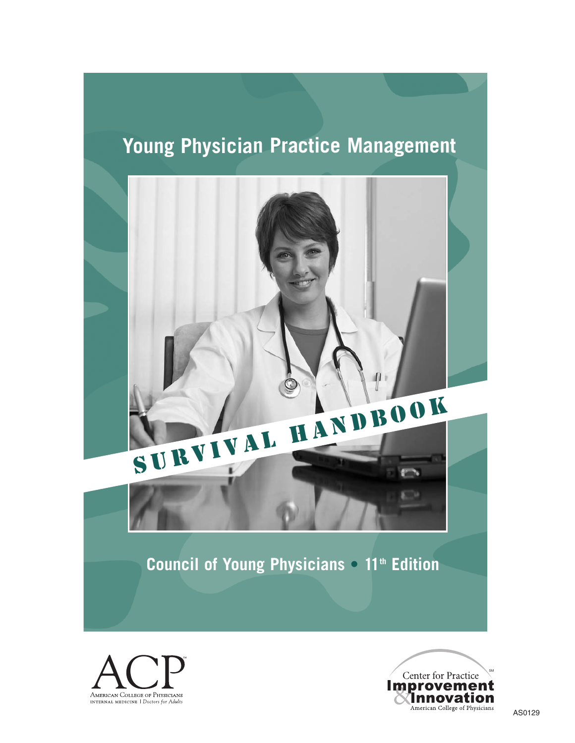# **Young Physician Practice Management**





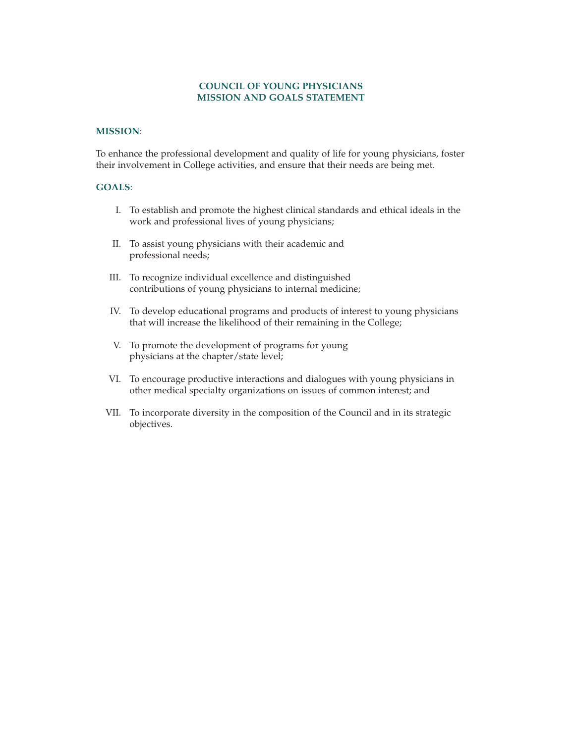#### **COUNCIL OF YOUNG PHYSICIANS MISSION AND GOALS STATEMENT**

#### **MISSION**:

To enhance the professional development and quality of life for young physicians, foster their involvement in College activities, and ensure that their needs are being met.

## **GOALS**:

- I. To establish and promote the highest clinical standards and ethical ideals in the work and professional lives of young physicians;
- II. To assist young physicians with their academic and professional needs;
- III. To recognize individual excellence and distinguished contributions of young physicians to internal medicine;
- IV. To develop educational programs and products of interest to young physicians that will increase the likelihood of their remaining in the College;
- V. To promote the development of programs for young physicians at the chapter/state level;
- VI. To encourage productive interactions and dialogues with young physicians in other medical specialty organizations on issues of common interest; and
- VII. To incorporate diversity in the composition of the Council and in its strategic objectives.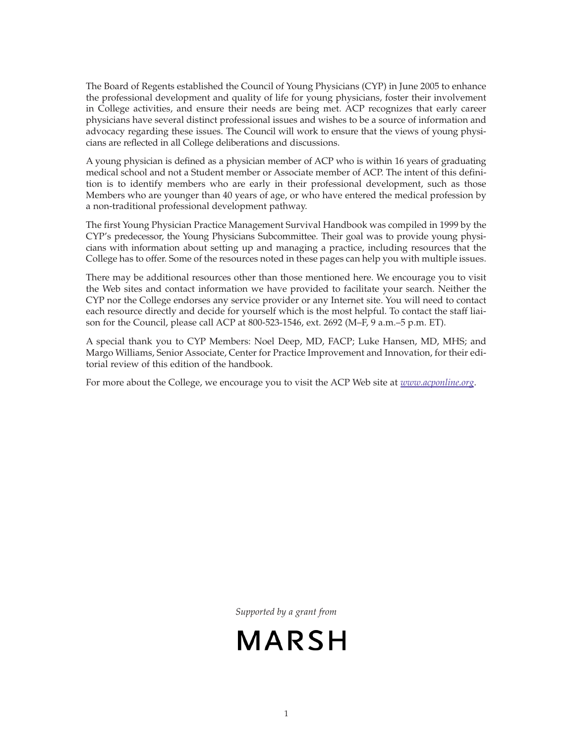The Board of Regents established the Council of Young Physicians (CYP) in June 2005 to enhance the professional development and quality of life for young physicians, foster their involvement in College activities, and ensure their needs are being met. ACP recognizes that early career physicians have several distinct professional issues and wishes to be a source of information and advocacy regarding these issues. The Council will work to ensure that the views of young physicians are reflected in all College deliberations and discussions.

A young physician is defined as a physician member of ACP who is within 16 years of graduating medical school and not a Student member or Associate member of ACP. The intent of this definition is to identify members who are early in their professional development, such as those Members who are younger than 40 years of age, or who have entered the medical profession by a non-traditional professional development pathway.

The first Young Physician Practice Management Survival Handbook was compiled in 1999 by the CYP's predecessor, the Young Physicians Subcommittee. Their goal was to provide young physicians with information about setting up and managing a practice, including resources that the College has to offer. Some of the resources noted in these pages can help you with multiple issues.

There may be additional resources other than those mentioned here. We encourage you to visit the Web sites and contact information we have provided to facilitate your search. Neither the CYP nor the College endorses any service provider or any Internet site. You will need to contact each resource directly and decide for yourself which is the most helpful. To contact the staff liaison for the Council, please call ACP at 800-523-1546, ext. 2692 (M–F, 9 a.m.–5 p.m. ET).

A special thank you to CYP Members: Noel Deep, MD, FACP; Luke Hansen, MD, MHS; and Margo Williams, Senior Associate, Center for Practice Improvement and Innovation, for their editorial review of this edition of the handbook.

For more about the College, we encourage you to visit the ACP Web site at *www.acponline.org*.

*Supported by a grant from*

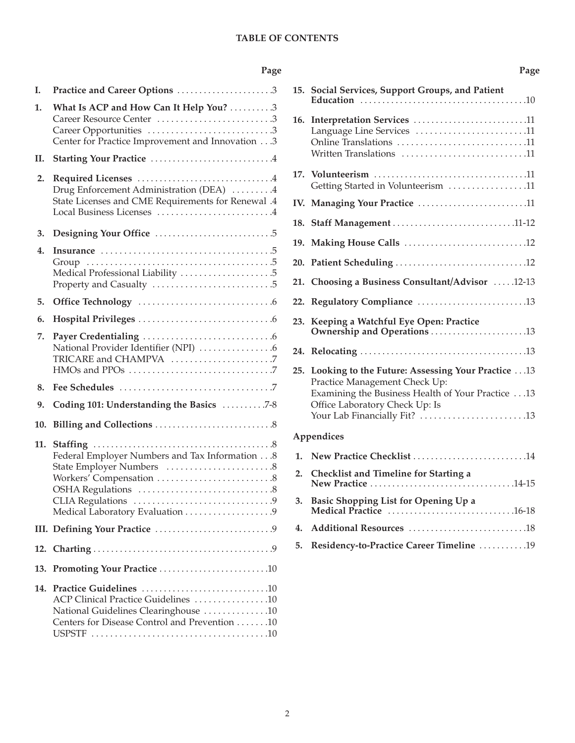## **TABLE OF CONTENTS**

## **Page**

<span id="page-3-0"></span>

| Ι.  | Practice and Career Options 3                                                                                                                    |
|-----|--------------------------------------------------------------------------------------------------------------------------------------------------|
| 1.  | What Is ACP and How Can It Help You? 3<br>Career Resource Center 3<br>Career Opportunities 3<br>Center for Practice Improvement and Innovation 3 |
| Н.  |                                                                                                                                                  |
| 2.  | Drug Enforcement Administration (DEA) 4<br>State Licenses and CME Requirements for Renewal .4<br>Local Business Licenses 4                       |
| 3.  |                                                                                                                                                  |
| 4.  | Medical Professional Liability 5                                                                                                                 |
| 5.  |                                                                                                                                                  |
| 6.  |                                                                                                                                                  |
| 7.  | National Provider Identifier (NPI) 6                                                                                                             |
| 8.  |                                                                                                                                                  |
| 9.  | Coding 101: Understanding the Basics 7-8                                                                                                         |
| 10. | Billing and Collections $\dots\dots\dots\dots\dots\dots\dots\dots$ . $8$                                                                         |
| 11. | Federal Employer Numbers and Tax Information 8                                                                                                   |
|     |                                                                                                                                                  |
|     |                                                                                                                                                  |
| 13. |                                                                                                                                                  |
| 14. | ACP Clinical Practice Guidelines 10<br>National Guidelines Clearinghouse 10<br>Centers for Disease Control and Prevention 10                     |

|     | 15. Social Services, Support Groups, and Patient                                                                 |
|-----|------------------------------------------------------------------------------------------------------------------|
|     | 16. Interpretation Services 11<br>Language Line Services 11<br>Online Translations 11<br>Written Translations 11 |
|     | Getting Started in Volunteerism 11                                                                               |
|     | IV. Managing Your Practice 11                                                                                    |
|     | 18. Staff Management 11-12                                                                                       |
|     |                                                                                                                  |
|     |                                                                                                                  |
|     | 21. Choosing a Business Consultant/Advisor 12-13                                                                 |
|     |                                                                                                                  |
| 23. | Keeping a Watchful Eye Open: Practice                                                                            |
|     |                                                                                                                  |
|     | 25. Looking to the Future: Assessing Your Practice  13<br>Practice Management Check Up:                          |

# **Appendices**

| 1. New Practice Checklist 14                |
|---------------------------------------------|
| 2. Checklist and Timeline for Starting a    |
| 3. Basic Shopping List for Opening Up a     |
|                                             |
| 5. Residency-to-Practice Career Timeline 19 |

[Examining the Business Health of Your Practice . . .13](#page-14-0)

Your Lab Financially Fit? ..............................13

Office Laboratory Check Up: Is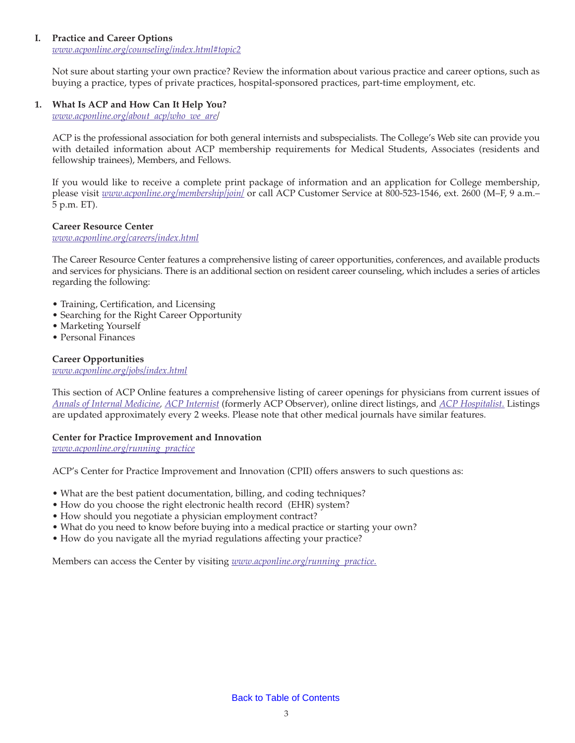## <span id="page-4-0"></span>**I. Practice and Career Options**

*www.acponline.org/counseling/index.html#topic2*

Not sure about starting your own practice? Review the information about various practice and career options, such as buying a practice, types of private practices, hospital-sponsored practices, part-time employment, etc.

## **1. What Is ACP and How Can It Help You?**

*www.acponline.org/about\_acp/who\_we\_are/*

ACP is the professional association for both general internists and subspecialists. The College's Web site can provide you with detailed information about ACP membership requirements for Medical Students, Associates (residents and fellowship trainees), Members, and Fellows.

If you would like to receive a complete print package of information and an application for College membership, please visit *www.acponline.org/membership/join/* or call ACP Customer Service at 800-523-1546, ext. 2600 (M–F, 9 a.m.– 5 p.m. ET).

## **Career Resource Center**

*www.acponline.org/careers/index.html*

The Career Resource Center features a comprehensive listing of career opportunities, conferences, and available products and services for physicians. There is an additional section on resident career counseling, which includes a series of articles regarding the following:

- Training, Certification, and Licensing
- Searching for the Right Career Opportunity
- Marketing Yourself
- Personal Finances

#### **Career Opportunities**

*www.acponline.org/jobs/index.html*

This section of ACP Online features a comprehensive listing of career openings for physicians from current issues of *[Annals of Internal Medicine,](http://www.annals.org/) [ACP Internist](http://www.acpinternist.org/)* (formerly ACP Observer), online direct listings, and *[ACP Hospitalist.](http://www.acphospitalist.org/)* Listings are updated approximately every 2 weeks. Please note that other medical journals have similar features.

#### **Center for Practice Improvement and Innovation**

*www.acponline.org/running\_practice*

ACP's Center for Practice Improvement and Innovation (CPII) offers answers to such questions as:

- What are the best patient documentation, billing, and coding techniques?
- How do you choose the right electronic health record (EHR) system?
- How should you negotiate a physician employment contract?
- What do you need to know before buying into a medical practice or starting your own?
- How do you navigate all the myriad regulations affecting your practice?

Members can access the Center by visiting *www.acponline.org/running\_practice.*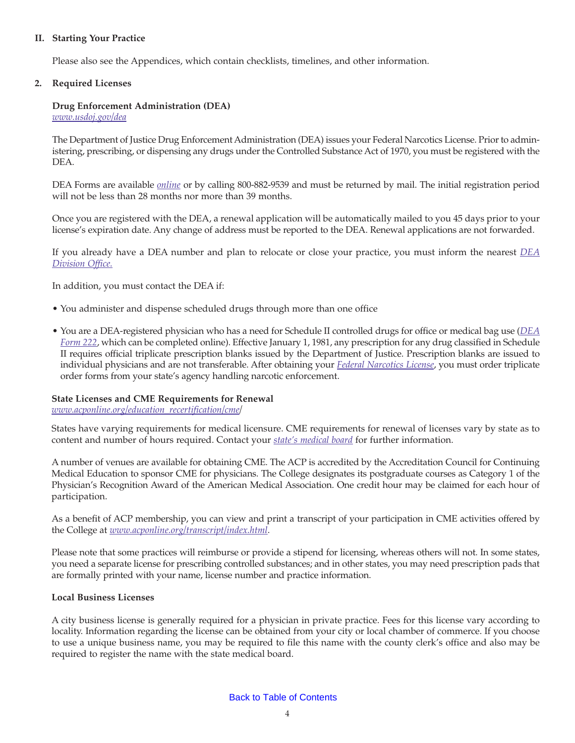## <span id="page-5-0"></span>**II. Starting Your Practice**

Please also see the Appendices, which contain checklists, timelines, and other information.

#### **2. Required Licenses**

## **Drug Enforcement Administration (DEA)**

*www.usdoj.gov/dea*

The Department of Justice Drug Enforcement Administration (DEA) issues your Federal Narcotics License. Prior to administering, prescribing, or dispensing any drugs under the Controlled Substance Act of 1970, you must be registered with the DEA.

DEA Forms are available *[online](http://www.deadiversion.usdoj.gov/drugreg/index.html)* or by calling 800-882-9539 and must be returned by mail. The initial registration period will not be less than 28 months nor more than 39 months.

Once you are registered with the DEA, a renewal application will be automatically mailed to you 45 days prior to your license's expiration date. Any change of address must be reported to the DEA. Renewal applications are not forwarded.

If you already have a DEA number and plan to relocate or close your practice, you must inform the nearest *[DEA](http://www.justice.gov/dea/contactinfo.htm) [Division Office.](http://www.justice.gov/dea/contactinfo.htm)*

In addition, you must contact the DEA if:

- You administer and dispense scheduled drugs through more than one office
- You are a DEA-registered physician who has a need for Schedule II controlled drugs for office or medical bag use (*[DEA](https://www.deadiversion.usdoj.gov/webforms/orderFormsRequest.jsp) [Form 222](https://www.deadiversion.usdoj.gov/webforms/orderFormsRequest.jsp)*, which can be completed online). Effective January 1, 1981, any prescription for any drug classified in Schedule II requires official triplicate prescription blanks issued by the Department of Justice. Prescription blanks are issued to individual physicians and are not transferable. After obtaining your *[Federal Narcotics License](http://www.deadiversion.usdoj.gov/drugreg/reg_apps/onlineforms_new.htm)*, you must order triplicate order forms from your state's agency handling narcotic enforcement.

#### **State Licenses and CME Requirements for Renewal**

*www.acponline.org/education\_recertification/cme/*

States have varying requirements for medical licensure. CME requirements for renewal of licenses vary by state as to content and number of hours required. Contact your *[state's medical board](http://www.ama-assn.org/ama/pub/education-careers/becoming-physician/medical-licensure/state-medical-boards.shtml)* for further information.

A number of venues are available for obtaining CME. The ACP is accredited by the Accreditation Council for Continuing Medical Education to sponsor CME for physicians. The College designates its postgraduate courses as Category 1 of the Physician's Recognition Award of the American Medical Association. One credit hour may be claimed for each hour of participation.

As a benefit of ACP membership, you can view and print a transcript of your participation in CME activities offered by the College at *www.acponline.org/transcript/index.html*.

Please note that some practices will reimburse or provide a stipend for licensing, whereas others will not. In some states, you need a separate license for prescribing controlled substances; and in other states, you may need prescription pads that are formally printed with your name, license number and practice information.

#### **Local Business Licenses**

A city business license is generally required for a physician in private practice. Fees for this license vary according to locality. Information regarding the license can be obtained from your city or local chamber of commerce. If you choose to use a unique business name, you may be required to file this name with the county clerk's office and also may be required to register the name with the state medical board.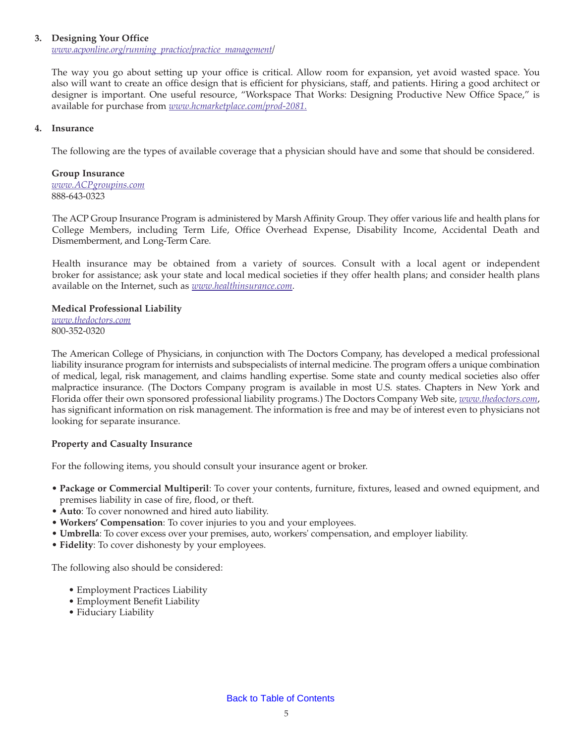#### <span id="page-6-0"></span>**3. Designing Your Office**

*www.acponline.org/running\_practice/practice\_management/*

The way you go about setting up your office is critical. Allow room for expansion, yet avoid wasted space. You also will want to create an office design that is efficient for physicians, staff, and patients. Hiring a good architect or designer is important. One useful resource, "Workspace That Works: Designing Productive New Office Space," is available for purchase from *www.hcmarketplace.com/prod-2081.*

## **4. Insurance**

The following are the types of available coverage that a physician should have and some that should be considered.

**Group Insurance** *www.ACPgroupins.com* 888-643-0323

The ACP Group Insurance Program is administered by Marsh Affinity Group. They offer various life and health plans for College Members, including Term Life, Office Overhead Expense, Disability Income, Accidental Death and Dismemberment, and Long-Term Care.

Health insurance may be obtained from a variety of sources. Consult with a local agent or independent broker for assistance; ask your state and local medical societies if they offer health plans; and consider health plans available on the Internet, such as *www.healthinsurance.com*.

## **Medical Professional Liability**

*www.thedoctors.com* 800-352-0320

The American College of Physicians, in conjunction with The Doctors Company, has developed a medical professional liability insurance program for internists and subspecialists of internal medicine. The program offers a unique combination of medical, legal, risk management, and claims handling expertise. Some state and county medical societies also offer malpractice insurance. (The Doctors Company program is available in most U.S. states. Chapters in New York and Florida offer their own sponsored professional liability programs.) The Doctors Company Web site, *www.thedoctors.com*, has significant information on risk management. The information is free and may be of interest even to physicians not looking for separate insurance.

## **Property and Casualty Insurance**

For the following items, you should consult your insurance agent or broker.

- **Package or Commercial Multiperil**: To cover your contents, furniture, fixtures, leased and owned equipment, and premises liability in case of fire, flood, or theft.
- **Auto**: To cover nonowned and hired auto liability.
- **Workers' Compensation**: To cover injuries to you and your employees.
- **Umbrella**: To cover excess over your premises, auto, workers' compensation, and employer liability.
- **Fidelity**: To cover dishonesty by your employees.

The following also should be considered:

- Employment Practices Liability
- Employment Benefit Liability
- Fiduciary Liability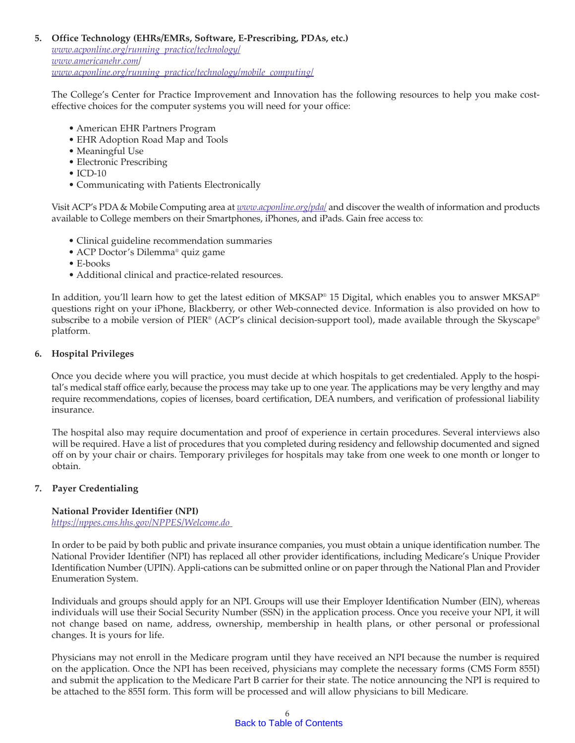## <span id="page-7-0"></span>**5. Office Technology (EHRs/EMRs, Software, E-Prescribing, PDAs, etc.)**

*www.acponline.org/running\_practice/technology/ www.americanehr.com/ www.acponline.org/running\_practice/technology/mobile\_computing/*

The College's Center for Practice Improvement and Innovation has the following resources to help you make costeffective choices for the computer systems you will need for your office:

- American EHR Partners Program
- EHR Adoption Road Map and Tools
- Meaningful Use
- Electronic Prescribing
- $\bullet$  ICD-10
- Communicating with Patients Electronically

Visit ACP's PDA & Mobile Computing area at *www.acponline.org/pda/* and discover the wealth of information and products available to College members on their Smartphones, iPhones, and iPads. Gain free access to:

- Clinical guideline recommendation summaries
- ACP Doctor's Dilemma® quiz game
- E-books
- Additional clinical and practice-related resources.

In addition, you'll learn how to get the latest edition of MKSAP® 15 Digital, which enables you to answer MKSAP® questions right on your iPhone, Blackberry, or other Web-connected device. Information is also provided on how to subscribe to a mobile version of PIER® (ACP's clinical decision-support tool), made available through the Skyscape® platform.

#### **6. Hospital Privileges**

Once you decide where you will practice, you must decide at which hospitals to get credentialed. Apply to the hospital's medical staff office early, because the process may take up to one year. The applications may be very lengthy and may require recommendations, copies of licenses, board certification, DEA numbers, and verification of professional liability insurance.

The hospital also may require documentation and proof of experience in certain procedures. Several interviews also will be required. Have a list of procedures that you completed during residency and fellowship documented and signed off on by your chair or chairs. Temporary privileges for hospitals may take from one week to one month or longer to obtain.

## **7. Payer Credentialing**

#### **National Provider Identifier (NPI)** *https://nppes.cms.hhs.gov/NPPES/Welcome.do*

In order to be paid by both public and private insurance companies, you must obtain a unique identification number. The National Provider Identifier (NPI) has replaced all other provider identifications, including Medicare's Unique Provider Identification Number (UPIN). Appli-cations can be submitted online or on paper through the National Plan and Provider Enumeration System.

Individuals and groups should apply for an NPI. Groups will use their Employer Identification Number (EIN), whereas individuals will use their Social Security Number (SSN) in the application process. Once you receive your NPI, it will not change based on name, address, ownership, membership in health plans, or other personal or professional changes. It is yours for life.

Physicians may not enroll in the Medicare program until they have received an NPI because the number is required on the application. Once the NPI has been received, physicians may complete the necessary forms (CMS Form 855I) and submit the application to the Medicare Part B carrier for their state. The notice announcing the NPI is required to be attached to the 855I form. This form will be processed and will allow physicians to bill Medicare.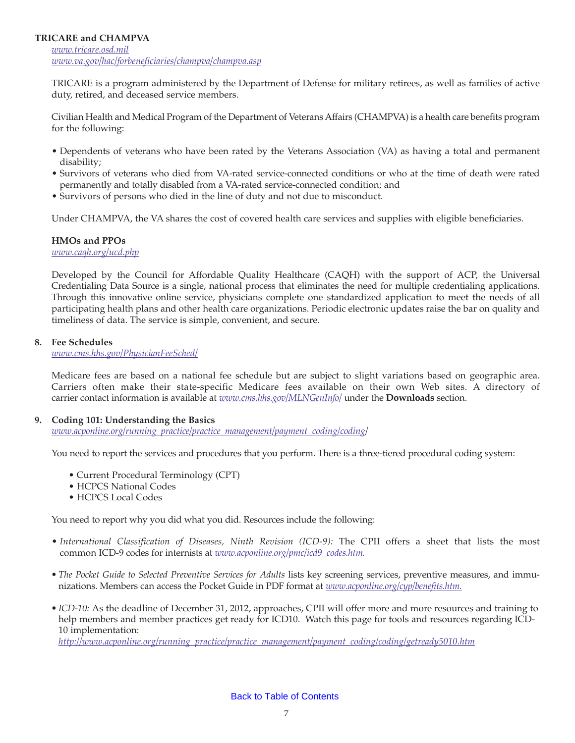## <span id="page-8-0"></span>**TRICARE and CHAMPVA**

*www.tricare.osd.mil www.va.gov/hac/forbeneficiaries/champva/champva.asp*

TRICARE is a program administered by the Department of Defense for military retirees, as well as families of active duty, retired, and deceased service members.

Civilian Health and Medical Program of the Department of Veterans Affairs (CHAMPVA) is a health care benefits program for the following:

- Dependents of veterans who have been rated by the Veterans Association (VA) as having a total and permanent disability;
- Survivors of veterans who died from VA-rated service-connected conditions or who at the time of death were rated permanently and totally disabled from a VA-rated service-connected condition; and
- Survivors of persons who died in the line of duty and not due to misconduct.

Under CHAMPVA, the VA shares the cost of covered health care services and supplies with eligible beneficiaries.

## **HMOs and PPOs**

*www.caqh.org/ucd.php*

Developed by the Council for Affordable Quality Healthcare (CAQH) with the support of ACP, the Universal Credentialing Data Source is a single, national process that eliminates the need for multiple credentialing applications. Through this innovative online service, physicians complete one standardized application to meet the needs of all participating health plans and other health care organizations. Periodic electronic updates raise the bar on quality and timeliness of data. The service is simple, convenient, and secure.

#### **8. Fee Schedules**

*www.cms.hhs.gov/PhysicianFeeSched/*

Medicare fees are based on a national fee schedule but are subject to slight variations based on geographic area. Carriers often make their state-specific Medicare fees available on their own Web sites. A directory of carrier contact information is available at *www.cms.hhs.gov/MLNGenInfo/* under the **Downloads** section.

#### **9. Coding 101: Understanding the Basics**

*www.acponline.org/running\_practice/practice\_management/payment\_coding/coding/*

You need to report the services and procedures that you perform. There is a three-tiered procedural coding system:

- Current Procedural Terminology (CPT)
- HCPCS National Codes
- HCPCS Local Codes

You need to report why you did what you did. Resources include the following:

- *International Classification of Diseases, Ninth Revision (ICD-9):* The CPII offers a sheet that lists the most common ICD-9 codes for internists at *www.acponline.org/pmc/icd9\_codes.htm.*
- The Pocket Guide to Selected Preventive Services for Adults lists key screening services, preventive measures, and immunizations. Members can access the Pocket Guide in PDF format at *www.acponline.org/cyp/benefits.htm.*
- *ICD-10:* As the deadline of December 31, 2012, approaches, CPII will offer more and more resources and training to help members and member practices get ready for ICD10. Watch this page for tools and resources regarding ICD-10 implementation:

*http://www.acponline.org/running\_practice/practice\_management/payment\_coding/coding/getready5010.htm*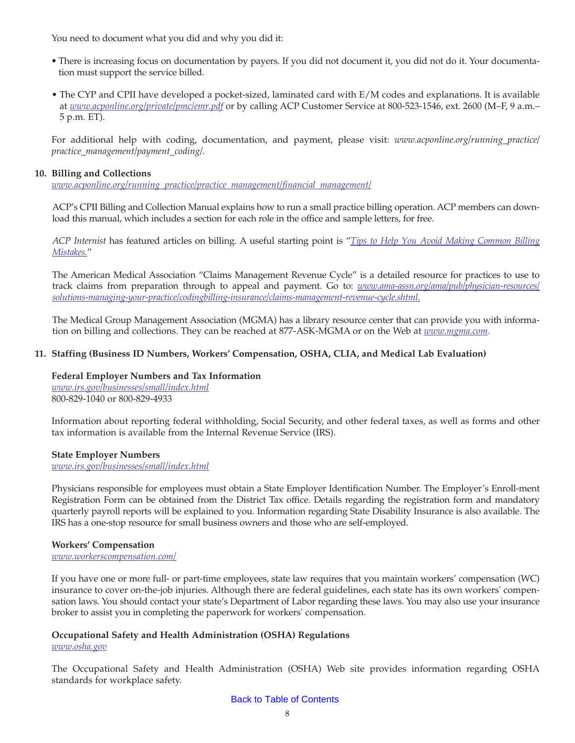<span id="page-9-0"></span>You need to document what you did and why you did it:

- *•* There is increasing focus on documentation by payers. If you did not document it, you did not do it. Your documentation must support the service billed.
- The CYP and CPII have developed a pocket-sized, laminated card with E/M codes and explanations. It is available at *www.acponline.org/private/pmc/emr.pdf* or by calling ACP Customer Service at 800-523-1546, ext. 2600 (M–F, 9 a.m.– 5 p.m. ET).

For additional help with coding, documentation, and payment, please visit: *www.acponline.org/running\_practice/ practice\_management/payment\_coding/.*

## **10. Billing and Collections**

*www.acponline.org/running\_practice/practice\_management/financial\_management/*

ACP's CPII Billing and Collection Manual explains how to run a small practice billing operation. ACP members can download this manual, which includes a section for each role in the office and sample letters, for free.

*ACP Internist* has featured articles on billing. A useful starting point is "*[Tips to Help You Avoid Making Common Billing](http://www.acpinternist.org/archives/2002/11/billing.htm) Mistakes.*"

The American Medical Association "Claims Management Revenue Cycle" is a detailed resource for practices to use to track claims from preparation through to appeal and payment. Go to: *[www.ama-assn.org/ama/pub/physician-resources/](http://www.ama-assn.org/ama/pub/physician-resources/solutions-managing-your-practice/coding-billing-insurance/claims-management-revenue-cycle.shtml) [solutions-managing-your-practice/codingbilling-insurance/claims-management-revenue-cycle.shtml.](http://www.ama-assn.org/ama/pub/physician-resources/solutions-managing-your-practice/coding-billing-insurance/claims-management-revenue-cycle.shtml)*

The Medical Group Management Association (MGMA) has a library resource center that can provide you with information on billing and collections. They can be reached at 877-ASK-MGMA or on the Web at *www.mgma.com*.

## **11. Staffing (Business ID Numbers, Workers' Compensation, OSHA, CLIA, and Medical Lab Evaluation)**

## **Federal Employer Numbers and Tax Information**

*www.irs.gov/businesses/small/index.html* 800-829-1040 or 800-829-4933

Information about reporting federal withholding, Social Security, and other federal taxes, as well as forms and other tax information is available from the Internal Revenue Service (IRS).

#### **State Employer Numbers**

*www.irs.gov/businesses/small/index.html*

Physicians responsible for employees must obtain a State Employer Identification Number. The Employer's Enroll-ment Registration Form can be obtained from the District Tax office. Details regarding the registration form and mandatory quarterly payroll reports will be explained to you. Information regarding State Disability Insurance is also available. The IRS has a one-stop resource for small business owners and those who are self-employed.

#### **Workers' Compensation**

*www.workerscompensation.com/*

If you have one or more full- or part-time employees, state law requires that you maintain workers' compensation (WC) insurance to cover on-the-job injuries. Although there are federal guidelines, each state has its own workers' compensation laws. You should contact your state's Department of Labor regarding these laws. You may also use your insurance broker to assist you in completing the paperwork for workers' compensation.

# **Occupational Safety and Health Administration (OSHA) Regulations**

*www.osha.gov*

The Occupational Safety and Health Administration (OSHA) Web site provides information regarding OSHA standards for workplace safety.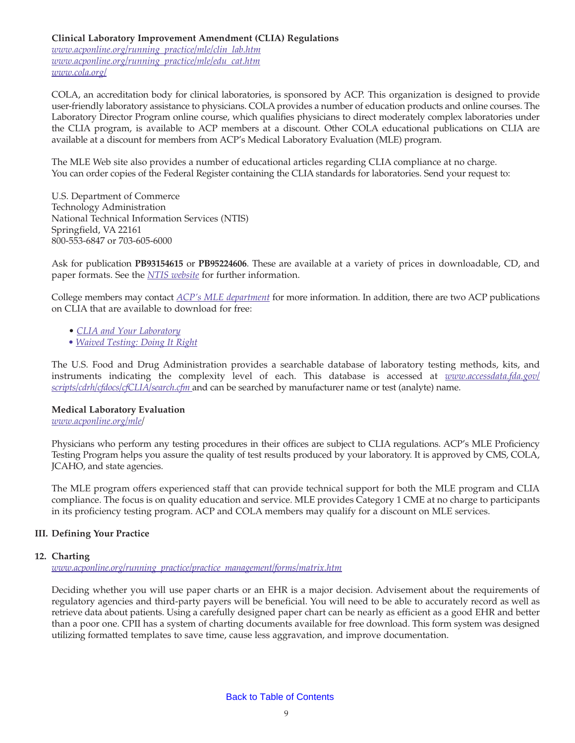## **Clinical Laboratory Improvement Amendment (CLIA) Regulations**

*www.acponline.org/running\_practice/mle/clin\_lab.htm www.acponline.org/running\_practice/mle/edu\_cat.htm www.cola.org/*

COLA, an accreditation body for clinical laboratories, is sponsored by ACP. This organization is designed to provide user-friendly laboratory assistance to physicians. COLA provides a number of education products and online courses. The Laboratory Director Program online course, which qualifies physicians to direct moderately complex laboratories under the CLIA program, is available to ACP members at a discount. Other COLA educational publications on CLIA are available at a discount for members from ACP's Medical Laboratory Evaluation (MLE) program.

The MLE Web site also provides a number of educational articles regarding CLIA compliance at no charge. You can order copies of the Federal Register containing the CLIA standards for laboratories. Send your request to:

U.S. Department of Commerce Technology Administration National Technical Information Services (NTIS) Springfield, VA 22161 800-553-6847 or 703-605-6000

Ask for publication **PB93154615** or **PB95224606**. These are available at a variety of prices in downloadable, CD, and paper formats. See the *[NTIS website](http://www.ntis.gov/products/ntrl.aspx)* for further information.

College members may contact *[ACP's MLE department](http://www.acponline.org/running_practice/mle/)* for more information. In addition, there are two ACP publications on CLIA that are available to download for free:

- *[CLIA and Your Laboratory](http://www.acponline.org/private/pmc/clia_lab.pdf)*
- *• [Waived Testing: Doing It Right](http://www.acponline.org/private/pmc/waived_dir.pdf)*

The U.S. Food and Drug Administration provides a searchable database of laboratory testing methods, kits, and instruments indicating the complexity level of each. This database is accessed at *[www.accessdata.fda.gov/](http://www.accessdata.fda.gov/scripts/cdrh/cfdocs/cfCLIA/search.cfm) [scripts/cdrh/cfdocs/cfCLIA/search.cfm](http://www.accessdata.fda.gov/scripts/cdrh/cfdocs/cfCLIA/search.cfm)* and can be searched by manufacturer name or test (analyte) name.

#### **Medical Laboratory Evaluation**

*www.acponline.org/mle/*

Physicians who perform any testing procedures in their offices are subject to CLIA regulations. ACP's MLE Proficiency Testing Program helps you assure the quality of test results produced by your laboratory. It is approved by CMS, COLA, JCAHO, and state agencies.

The MLE program offers experienced staff that can provide technical support for both the MLE program and CLIA compliance. The focus is on quality education and service. MLE provides Category 1 CME at no charge to participants in its proficiency testing program. ACP and COLA members may qualify for a discount on MLE services.

## **III. Defining Your Practice**

#### **12. Charting**

*www.acponline.org/running\_practice/practice\_management/forms/matrix.htm*

Deciding whether you will use paper charts or an EHR is a major decision. Advisement about the requirements of regulatory agencies and third-party payers will be beneficial. You will need to be able to accurately record as well as retrieve data about patients. Using a carefully designed paper chart can be nearly as efficient as a good EHR and better than a poor one. CPII has a system of charting documents available for free download. This form system was designed utilizing formatted templates to save time, cause less aggravation, and improve documentation.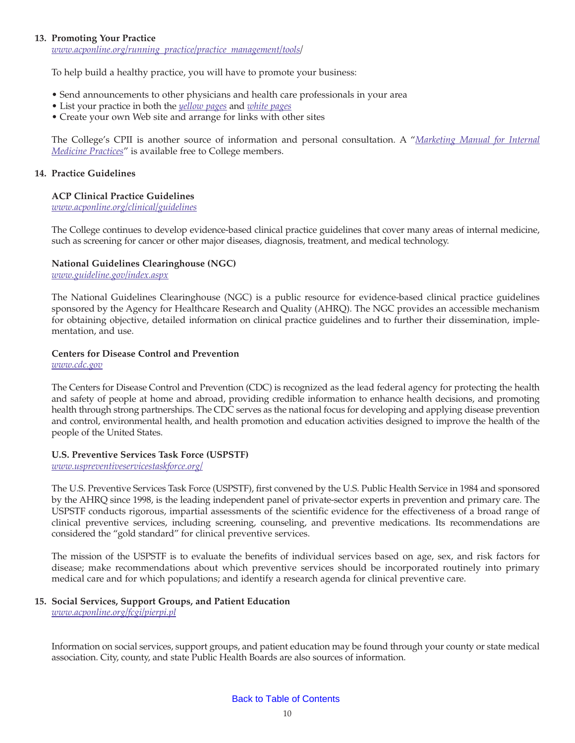#### <span id="page-11-0"></span>**13. Promoting Your Practice**

*www.acponline.org/running\_practice/practice\_management/tools/*

To help build a healthy practice, you will have to promote your business:

- Send announcements to other physicians and health care professionals in your area
- List your practice in both the *[yellow pages](http://listings.yellowpages.com/Editorial/44/special_offers/jump-google.html?from=SEMPS_GGL_Search_ACC=Adstore_C=PA_Philadelphia_yellow%20pages%20ad%20listings_UID=10001151004&gclid=CN7MhYqVraUCFY5N5QodDHtpYA)* and *[white pages](http://www.whitepages.com/listing)*
- Create your own Web site and arrange for links with other sites

The College's CPII is another source of information and personal consultation. A "*[Marketing Manual for Internal](http://www.acponline.org/private/pmc/market.pdf) [Medicine Practices](http://www.acponline.org/private/pmc/market.pdf)*" is available free to College members.

#### **14. Practice Guidelines**

## **ACP Clinical Practice Guidelines**

*www.acponline.org/clinical/guidelines*

The College continues to develop evidence-based clinical practice guidelines that cover many areas of internal medicine, such as screening for cancer or other major diseases, diagnosis, treatment, and medical technology.

## **National Guidelines Clearinghouse (NGC)**

*www.guideline.gov/index.aspx*

The National Guidelines Clearinghouse (NGC) is a public resource for evidence-based clinical practice guidelines sponsored by the Agency for Healthcare Research and Quality (AHRQ). The NGC provides an accessible mechanism for obtaining objective, detailed information on clinical practice guidelines and to further their dissemination, implementation, and use.

## **Centers for Disease Control and Prevention**

*www.cdc.gov*

The Centers for Disease Control and Prevention (CDC) is recognized as the lead federal agency for protecting the health and safety of people at home and abroad, providing credible information to enhance health decisions, and promoting health through strong partnerships. The CDC serves as the national focus for developing and applying disease prevention and control, environmental health, and health promotion and education activities designed to improve the health of the people of the United States.

#### **U.S. Preventive Services Task Force (USPSTF)**

*www.uspreventiveservicestaskforce.org/*

The U.S. Preventive Services Task Force (USPSTF), first convened by the U.S. Public Health Service in 1984 and sponsored by the AHRQ since 1998, is the leading independent panel of private-sector experts in prevention and primary care. The USPSTF conducts rigorous, impartial assessments of the scientific evidence for the effectiveness of a broad range of clinical preventive services, including screening, counseling, and preventive medications. Its recommendations are considered the "gold standard" for clinical preventive services.

The mission of the USPSTF is to evaluate the benefits of individual services based on age, sex, and risk factors for disease; make recommendations about which preventive services should be incorporated routinely into primary medical care and for which populations; and identify a research agenda for clinical preventive care.

## **15. Social Services, Support Groups, and Patient Education**

*www.acponline.org/fcgi/pierpi.pl*

Information on social services, support groups, and patient education may be found through your county or state medical association. City, county, and state Public Health Boards are also sources of information.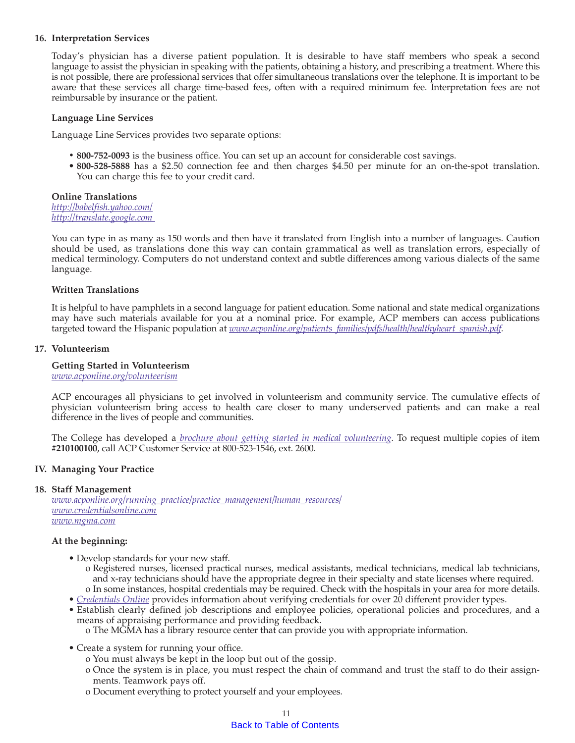#### <span id="page-12-0"></span>**16. Interpretation Services**

Today's physician has a diverse patient population. It is desirable to have staff members who speak a second language to assist the physician in speaking with the patients, obtaining a history, and prescribing a treatment. Where this is not possible, there are professional services that offer simultaneous translations over the telephone. It is important to be aware that these services all charge time-based fees, often with a required minimum fee. Interpretation fees are not reimbursable by insurance or the patient.

#### **Language Line Services**

Language Line Services provides two separate options:

- **800-752-0093** is the business office. You can set up an account for considerable cost savings.
- **800-528-5888** has a \$2.50 connection fee and then charges \$4.50 per minute for an on-the-spot translation. You can charge this fee to your credit card.

## **Online Translations**

*http://babelfish.yahoo.com/ http://translate.google.com* 

You can type in as many as 150 words and then have it translated from English into a number of languages. Caution should be used, as translations done this way can contain grammatical as well as translation errors, especially of medical terminology. Computers do not understand context and subtle differences among various dialects of the same language.

#### **Written Translations**

It is helpful to have pamphlets in a second language for patient education. Some national and state medical organizations may have such materials available for you at a nominal price. For example, ACP members can access publications targeted toward the Hispanic population at *www.acponline.org/patients\_families/pdfs/health/healthyheart\_spanish.pdf.* 

#### **17. Volunteerism**

#### **Getting Started in Volunteerism**

*www.acponline.org/volunteerism*

ACP encourages all physicians to get involved in volunteerism and community service. The cumulative effects of physician volunteerism bring access to health care closer to many underserved patients and can make a real difference in the lives of people and communities.

The College has developed a *[brochure about getting started in medical volunteering](http://www.acponline.org/running_practice/ethics/resources/volunteering/volunteer.pdf)*. To request multiple copies of item **#210100100**, call ACP Customer Service at 800-523-1546, ext. 2600.

#### **IV. Managing Your Practice**

#### **18. Staff Management**

*www.acponline.org/running\_practice/practice\_management/human\_resources/ www.credentialsonline.com www.mgma.com*

#### **At the beginning:**

- Develop standards for your new staff.
	- o Registered nurses, licensed practical nurses, medical assistants, medical technicians, medical lab technicians, and x-ray technicians should have the appropriate degree in their specialty and state licenses where required. o In some instances, hospital credentials may be required. Check with the hospitals in your area for more details.
- *[Credentials Online](http://www.credentialsonline.com/)* provides information about verifying credentials for over 20 different provider types.
- Establish clearly defined job descriptions and employee policies, operational policies and procedures, and a means of appraising performance and providing feedback.

o The MGMA has a library resource center that can provide you with appropriate information.

- Create a system for running your office.
	- o You must always be kept in the loop but out of the gossip.
	- o Once the system is in place, you must respect the chain of command and trust the staff to do their assignments. Teamwork pays off.
	- o Document everything to protect yourself and your employees.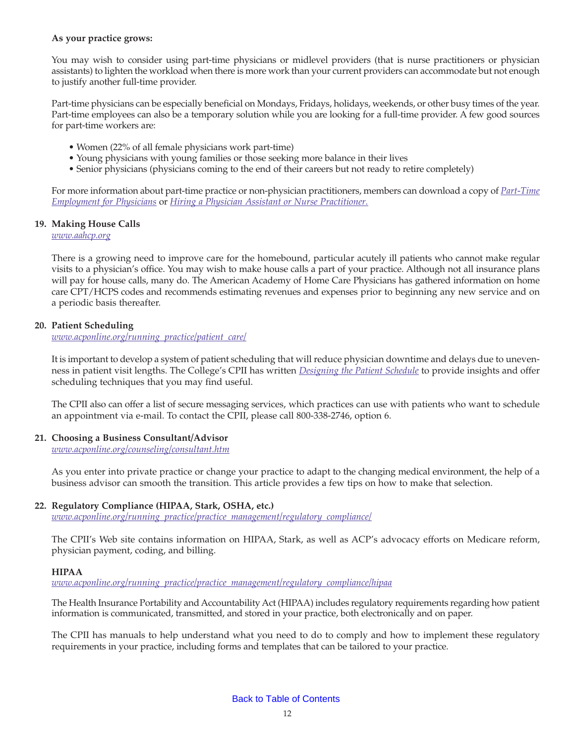#### <span id="page-13-0"></span>**As your practice grows:**

You may wish to consider using part-time physicians or midlevel providers (that is nurse practitioners or physician assistants) to lighten the workload when there is more work than your current providers can accommodate but not enough to justify another full-time provider.

Part-time physicians can be especially beneficial on Mondays, Fridays, holidays, weekends, or other busy times of the year. Part-time employees can also be a temporary solution while you are looking for a full-time provider. A few good sources for part-time workers are:

- Women (22% of all female physicians work part-time)
- Young physicians with young families or those seeking more balance in their lives
- Senior physicians (physicians coming to the end of their careers but not ready to retire completely)

For more information about part-time practice or non-physician practitioners, members can download a copy of *[Part-Time](http://www.acponline.org/private/pmc/part_time.pdf) [Employment for Physicians](http://www.acponline.org/private/pmc/part_time.pdf)* or *[Hiring a Physician Assistant or Nurse Practitioner.](http://www.acponline.org/private/pmc/panp2.pdf)*

## **19. Making House Calls**

*www.aahcp.org*

There is a growing need to improve care for the homebound, particular acutely ill patients who cannot make regular visits to a physician's office. You may wish to make house calls a part of your practice. Although not all insurance plans will pay for house calls, many do. The American Academy of Home Care Physicians has gathered information on home care CPT/HCPS codes and recommends estimating revenues and expenses prior to beginning any new service and on a periodic basis thereafter.

## **20. Patient Scheduling**

*www.acponline.org/running\_practice/patient\_care/*

It is important to develop a system of patient scheduling that will reduce physician downtime and delays due to unevenness in patient visit lengths. The College's CPII has written *[Designing the Patient Schedule](http://www.acponline.org/running_practice/patient_care/pat_sched.pdf)* to provide insights and offer scheduling techniques that you may find useful.

The CPII also can offer a list of secure messaging services, which practices can use with patients who want to schedule an appointment via e-mail. To contact the CPII, please call 800-338-2746, option 6.

#### **21. Choosing a Business Consultant/Advisor**

*www.acponline.org/counseling/consultant.htm*

As you enter into private practice or change your practice to adapt to the changing medical environment, the help of a business advisor can smooth the transition. This article provides a few tips on how to make that selection.

## **22. Regulatory Compliance (HIPAA, Stark, OSHA, etc.)**

*www.acponline.org/running\_practice/practice\_management/regulatory\_compliance/*

The CPII's Web site contains information on HIPAA, Stark, as well as ACP's advocacy efforts on Medicare reform, physician payment, coding, and billing.

#### **HIPAA**

*www.acponline.org/running\_practice/practice\_management/regulatory\_compliance/hipaa*

The Health Insurance Portability and Accountability Act (HIPAA) includes regulatory requirements regarding how patient information is communicated, transmitted, and stored in your practice, both electronically and on paper.

The CPII has manuals to help understand what you need to do to comply and how to implement these regulatory requirements in your practice, including forms and templates that can be tailored to your practice.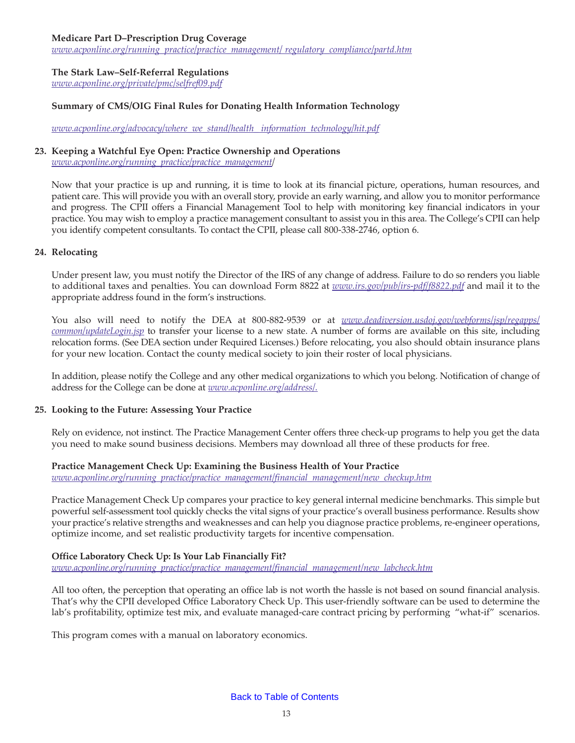#### <span id="page-14-0"></span>**Medicare Part D–Prescription Drug Coverage**

*www.acponline.org/running\_practice/practice\_management/ regulatory\_compliance/partd.htm*

#### **The Stark Law–Self-Referral Regulations**

*www.acponline.org/private/pmc/selfref09.pdf*

#### **Summary of CMS/OIG Final Rules for Donating Health Information Technology**

*[www.acponline.org/advocacy/where\\_we\\_stand/health\\_ information\\_technology/hit.pdf](http://www.acponline.org/advocacy/where_we_stand/health_information_technology/)*

#### **23. Keeping a Watchful Eye Open: Practice Ownership and Operations**

*www.acponline.org/running\_practice/practice\_management/*

Now that your practice is up and running, it is time to look at its financial picture, operations, human resources, and patient care. This will provide you with an overall story, provide an early warning, and allow you to monitor performance and progress. The CPII offers a Financial Management Tool to help with monitoring key financial indicators in your practice. You may wish to employ a practice management consultant to assist you in this area. The College's CPII can help you identify competent consultants. To contact the CPII, please call 800-338-2746, option 6.

#### **24. Relocating**

Under present law, you must notify the Director of the IRS of any change of address. Failure to do so renders you liable to additional taxes and penalties. You can download Form 8822 at *[www.irs.gov/pub/irs-pdf/f8822.pdf](http://www.irs.gov/pub/irs-pdf/f8822.pdf)* and mail it to the appropriate address found in the form's instructions.

You also will need to notify the DEA at 800-882-9539 or at *[www.deadiversion.usdoj.gov/webforms/jsp/regapps/](http://www.deadiversion.usdoj.gov/webforms/jsp/regapps/common/updateLogin.jsp) [common/updateLogin.jsp](http://www.deadiversion.usdoj.gov/webforms/jsp/regapps/common/updateLogin.jsp)* to transfer your license to a new state. A number of forms are available on this site, including relocation forms. (See DEA section under Required Licenses.) Before relocating, you also should obtain insurance plans for your new location. Contact the county medical society to join their roster of local physicians.

In addition, please notify the College and any other medical organizations to which you belong. Notification of change of address for the College can be done at *www.acponline.org/address/.*

#### **25. Looking to the Future: Assessing Your Practice**

Rely on evidence, not instinct. The Practice Management Center offers three check-up programs to help you get the data you need to make sound business decisions. Members may download all three of these products for free.

#### **Practice Management Check Up: Examining the Business Health of Your Practice**

*www.acponline.org/running\_practice/practice\_management/financial\_management/new\_checkup.htm*

Practice Management Check Up compares your practice to key general internal medicine benchmarks. This simple but powerful self-assessment tool quickly checks the vital signs of your practice's overall business performance. Results show your practice's relative strengths and weaknesses and can help you diagnose practice problems, re-engineer operations, optimize income, and set realistic productivity targets for incentive compensation.

#### **Office Laboratory Check Up: Is Your Lab Financially Fit?**

*www.acponline.org/running\_practice/practice\_management/financial\_management/new\_labcheck.htm*

All too often, the perception that operating an office lab is not worth the hassle is not based on sound financial analysis. That's why the CPII developed Office Laboratory Check Up. This user-friendly software can be used to determine the lab's profitability, optimize test mix, and evaluate managed-care contract pricing by performing "what-if" scenarios.

This program comes with a manual on laboratory economics.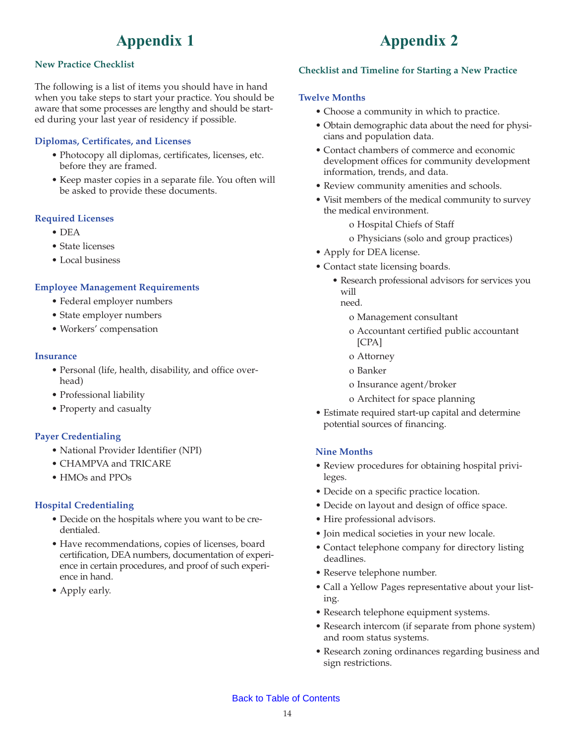# **Appendix 1**

## <span id="page-15-0"></span>**New Practice Checklist**

The following is a list of items you should have in hand when you take steps to start your practice. You should be aware that some processes are lengthy and should be started during your last year of residency if possible.

## **Diplomas, Certificates, and Licenses**

- Photocopy all diplomas, certificates, licenses, etc. before they are framed.
- Keep master copies in a separate file. You often will be asked to provide these documents.

## **Required Licenses**

- DEA
- State licenses
- Local business

## **Employee Management Requirements**

- Federal employer numbers
- State employer numbers
- Workers' compensation

#### **Insurance**

- Personal (life, health, disability, and office overhead)
- Professional liability
- Property and casualty

## **Payer Credentialing**

- National Provider Identifier (NPI)
- CHAMPVA and TRICARE
- HMOs and PPOs

## **Hospital Credentialing**

- Decide on the hospitals where you want to be credentialed.
- Have recommendations, copies of licenses, board certification, DEA numbers, documentation of experience in certain procedures, and proof of such experience in hand.
- Apply early.

# **Appendix 2**

## **Checklist and Timeline for Starting a New Practice**

#### **Twelve Months**

- Choose a community in which to practice.
- Obtain demographic data about the need for physicians and population data.
- Contact chambers of commerce and economic development offices for community development information, trends, and data.
- Review community amenities and schools.
- Visit members of the medical community to survey the medical environment.
	- o Hospital Chiefs of Staff
	- o Physicians (solo and group practices)
- Apply for DEA license.
- Contact state licensing boards.
	- Research professional advisors for services you will need.
		- o Management consultant
		- o Accountant certified public accountant [CPA]
		- o Attorney
		- o Banker
		- o Insurance agent/broker
		- o Architect for space planning
- Estimate required start-up capital and determine potential sources of financing.

## **Nine Months**

- Review procedures for obtaining hospital privileges.
- Decide on a specific practice location.
- Decide on layout and design of office space.
- Hire professional advisors.
- Join medical societies in your new locale.
- Contact telephone company for directory listing deadlines.
- Reserve telephone number.
- Call a Yellow Pages representative about your listing.
- Research telephone equipment systems.
- Research intercom (if separate from phone system) and room status systems.
- Research zoning ordinances regarding business and sign restrictions.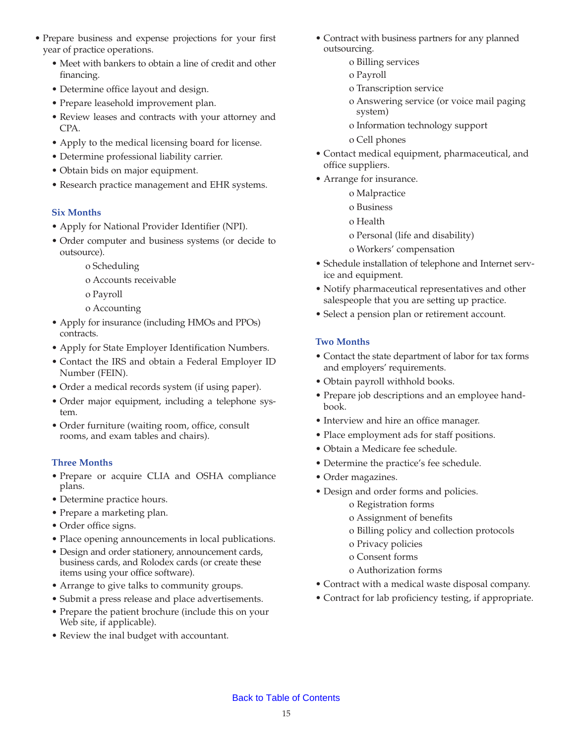- Prepare business and expense projections for your first year of practice operations.
	- Meet with bankers to obtain a line of credit and other financing.
	- Determine office layout and design.
	- Prepare leasehold improvement plan.
	- Review leases and contracts with your attorney and CPA.
	- Apply to the medical licensing board for license.
	- Determine professional liability carrier.
	- Obtain bids on major equipment.
	- Research practice management and EHR systems.

## **Six Months**

- Apply for National Provider Identifier (NPI).
- Order computer and business systems (or decide to outsource).
	- o Scheduling
	- o Accounts receivable
	- o Payroll
	- o Accounting
- Apply for insurance (including HMOs and PPOs) contracts.
- Apply for State Employer Identification Numbers.
- Contact the IRS and obtain a Federal Employer ID Number (FEIN).
- Order a medical records system (if using paper).
- Order major equipment, including a telephone system.
- Order furniture (waiting room, office, consult rooms, and exam tables and chairs).

# **Three Months**

- Prepare or acquire CLIA and OSHA compliance plans.
- Determine practice hours.
- Prepare a marketing plan.
- Order office signs.
- Place opening announcements in local publications.
- Design and order stationery, announcement cards, business cards, and Rolodex cards (or create these items using your office software).
- Arrange to give talks to community groups.
- Submit a press release and place advertisements.
- Prepare the patient brochure (include this on your Web site, if applicable).
- Review the inal budget with accountant.
- Contract with business partners for any planned outsourcing.
	- o Billing services
	- o Payroll
	- o Transcription service
	- o Answering service (or voice mail paging system)
	- o Information technology support
	- o Cell phones
- Contact medical equipment, pharmaceutical, and office suppliers.
- Arrange for insurance.
	- o Malpractice
	- o Business
	- o Health
	- o Personal (life and disability)
	- o Workers' compensation
- Schedule installation of telephone and Internet service and equipment.
- Notify pharmaceutical representatives and other salespeople that you are setting up practice.
- Select a pension plan or retirement account.

# **Two Months**

- Contact the state department of labor for tax forms and employers' requirements.
- Obtain payroll withhold books.
- Prepare job descriptions and an employee handbook.
- Interview and hire an office manager.
- Place employment ads for staff positions.
- Obtain a Medicare fee schedule.
- Determine the practice's fee schedule.
- Order magazines.
- Design and order forms and policies.
	- o Registration forms
	- o Assignment of benefits
	- o Billing policy and collection protocols
	- o Privacy policies
	- o Consent forms
	- o Authorization forms
- Contract with a medical waste disposal company.
- Contract for lab proficiency testing, if appropriate.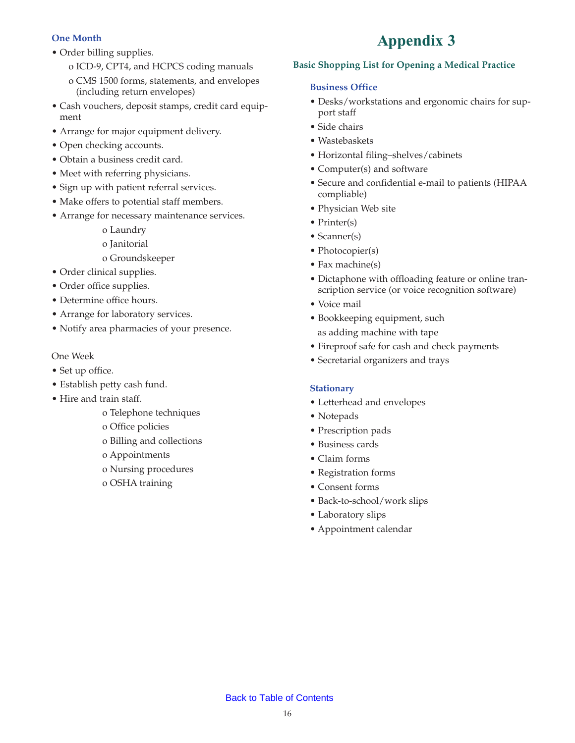# <span id="page-17-0"></span>**One Month**

- Order billing supplies.
	- o ICD-9, CPT4, and HCPCS coding manuals
	- o CMS 1500 forms, statements, and envelopes (including return envelopes)
- Cash vouchers, deposit stamps, credit card equipment
- Arrange for major equipment delivery.
- Open checking accounts.
- Obtain a business credit card.
- Meet with referring physicians.
- Sign up with patient referral services.
- Make offers to potential staff members.
- Arrange for necessary maintenance services.
	- o Laundry o Janitorial
	- o Groundskeeper
- Order clinical supplies.
- Order office supplies.
- Determine office hours.
- Arrange for laboratory services.
- Notify area pharmacies of your presence.

# One Week

- Set up office.
- Establish petty cash fund.
- Hire and train staff.
	- o Telephone techniques
	- o Office policies
	- o Billing and collections
	- o Appointments
	- o Nursing procedures
	- o OSHA training

# **Appendix 3**

# **Basic Shopping List for Opening a Medical Practice**

# **Business Office**

- Desks/workstations and ergonomic chairs for support staff
- Side chairs
- Wastebaskets
- Horizontal filing–shelves/cabinets
- Computer(s) and software
- Secure and confidential e-mail to patients (HIPAA compliable)
- Physician Web site
- Printer(s)
- Scanner(s)
- Photocopier(s)
- Fax machine(s)
- Dictaphone with offloading feature or online transcription service (or voice recognition software)
- Voice mail
- Bookkeeping equipment, such as adding machine with tape
- Fireproof safe for cash and check payments
- Secretarial organizers and trays

## **Stationary**

- Letterhead and envelopes
- Notepads
- Prescription pads
- Business cards
- Claim forms
- Registration forms
- Consent forms
- Back-to-school/work slips
- Laboratory slips
- Appointment calendar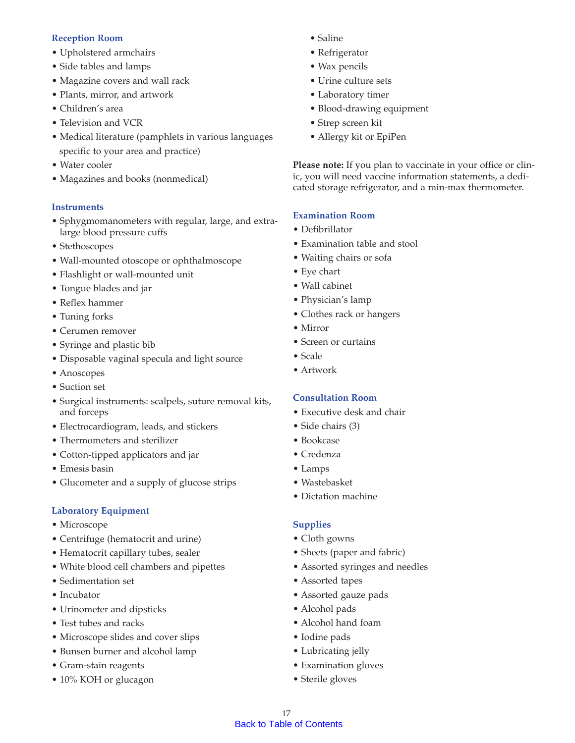## **Reception Room**

- Upholstered armchairs
- Side tables and lamps
- Magazine covers and wall rack
- Plants, mirror, and artwork
- Children's area
- Television and VCR
- Medical literature (pamphlets in various languages specific to your area and practice)
- Water cooler
- Magazines and books (nonmedical)

## **Instruments**

- Sphygmomanometers with regular, large, and extralarge blood pressure cuffs
- Stethoscopes
- Wall-mounted otoscope or ophthalmoscope
- Flashlight or wall-mounted unit
- Tongue blades and jar
- Reflex hammer
- Tuning forks
- Cerumen remover
- Syringe and plastic bib
- Disposable vaginal specula and light source
- Anoscopes
- Suction set
- Surgical instruments: scalpels, suture removal kits, and forceps
- Electrocardiogram, leads, and stickers
- Thermometers and sterilizer
- Cotton-tipped applicators and jar
- Emesis basin
- Glucometer and a supply of glucose strips

## **Laboratory Equipment**

- Microscope
- Centrifuge (hematocrit and urine)
- Hematocrit capillary tubes, sealer
- White blood cell chambers and pipettes
- Sedimentation set
- Incubator
- Urinometer and dipsticks
- Test tubes and racks
- Microscope slides and cover slips
- Bunsen burner and alcohol lamp
- Gram-stain reagents
- 10% KOH or glucagon
- Saline
- Refrigerator
- Wax pencils
- Urine culture sets
- Laboratory timer
- Blood-drawing equipment
- Strep screen kit
- Allergy kit or EpiPen

**Please note:** If you plan to vaccinate in your office or clinic, you will need vaccine information statements, a dedicated storage refrigerator, and a min-max thermometer.

## **Examination Room**

- Defibrillator
- Examination table and stool
- Waiting chairs or sofa
- Eye chart
- Wall cabinet
- Physician's lamp
- Clothes rack or hangers
- Mirror
- Screen or curtains
- Scale
- Artwork

## **Consultation Room**

- Executive desk and chair
- Side chairs (3)
- Bookcase
- Credenza
- Lamps
- Wastebasket
- Dictation machine

## **Supplies**

- Cloth gowns
- Sheets (paper and fabric)
- Assorted syringes and needles
- Assorted tapes
- Assorted gauze pads
- Alcohol pads
- Alcohol hand foam
- Iodine pads
- Lubricating jelly
- Examination gloves
- Sterile gloves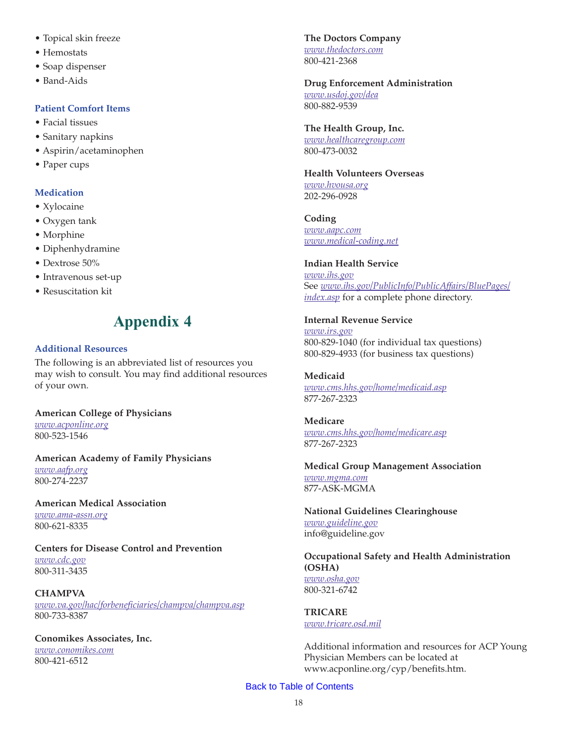- <span id="page-19-0"></span>• Topical skin freeze
- Hemostats
- Soap dispenser
- Band-Aids

## **Patient Comfort Items**

- Facial tissues
- Sanitary napkins
- Aspirin/acetaminophen
- Paper cups

# **Medication**

- Xylocaine
- Oxygen tank
- Morphine
- Diphenhydramine
- Dextrose 50%
- Intravenous set-up
- Resuscitation kit

# **Appendix 4**

## **Additional Resources**

The following is an abbreviated list of resources you may wish to consult. You may find additional resources of your own.

**American College of Physicians** *www.acponline.org*

800-523-1546

**American Academy of Family Physicians** *www.aafp.org* 800-274-2237

#### **American Medical Association**

*www.ama-assn.org* 800-621-8335

**Centers for Disease Control and Prevention** *www.cdc.gov*

800-311-3435

## **CHAMPVA**

*www.va.gov/hac/forbeneficiaries/champva/champva.asp* 800-733-8387

**Conomikes Associates, Inc.** *www.conomikes.com* 800-421-6512

**The Doctors Company** *www.thedoctors.com* 800-421-2368

**Drug Enforcement Administration** *www.usdoj.gov/dea* 800-882-9539

# **The Health Group, Inc.**

*www.healthcaregroup.com* 800-473-0032

**Health Volunteers Overseas** *www.hvousa.org*

202-296-0928

**Coding** *www.aapc.com www.medical-coding.net*

## **Indian Health Service**

*www.ihs.gov* See *www.ihs.gov/PublicInfo/PublicAffairs/BluePages/ index.asp* for a complete phone directory.

## **Internal Revenue Service**

*www.irs.gov* 800-829-1040 (for individual tax questions) 800-829-4933 (for business tax questions)

#### **Medicaid** *www.cms.hhs.gov/home/medicaid.asp* 877-267-2323

**Medicare** *www.cms.hhs.gov/home/medicare.asp* 877-267-2323

**Medical Group Management Association** *www.mgma.com* 877-ASK-MGMA

**National Guidelines Clearinghouse** *www.guideline.gov* info@guideline.gov

#### **Occupational Safety and Health Administration (OSHA)** *www.osha.gov*

800-321-6742

**TRICARE** *www.tricare.osd.mil*

Additional information and resources for ACP Young Physician Members can be located at www.acponline.org/cyp/benefits.htm.

## [Back to Table of Contents](#page-3-0)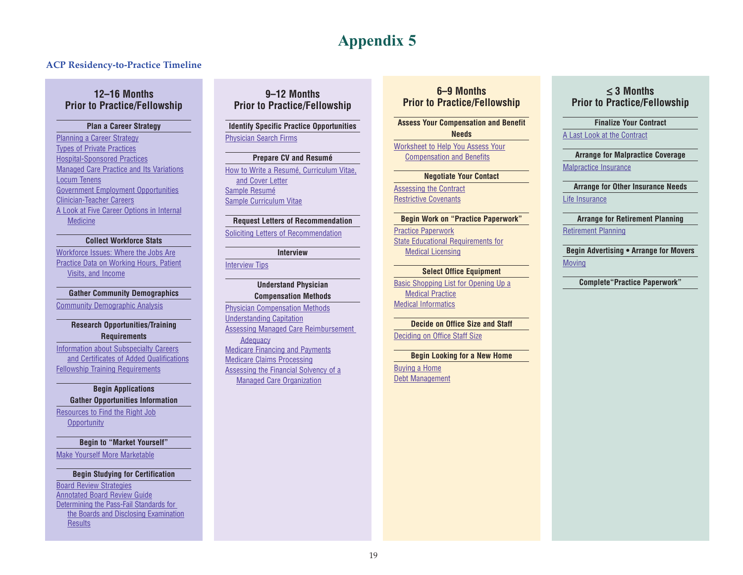# **Appendix 5**

#### <span id="page-20-0"></span>**ACP Residency-to-Practice Timeline**

## **12–16 Months Prior to Practice/Fellowship**

#### **Plan a Career Strategy**

[Planning a Career Strategy](http://www.acponline.org/residents_fellows/career_counseling/planning.htm) [Types of Private Practices](http://www.acponline.org/residents_fellows/career_counseling/types.htm) [Hospital-Sponsored Practices](http://www.acponline.org/residents_fellows/career_counseling/hosp_sponsor.htm) [Managed Care Practice and Its Variations](http://www.acponline.org/residents_fellows/career_counseling/managed_care.htm) [Locum Tenens](http://www.acponline.org/residents_fellows/career_counseling/locumtenens.htm)[Government Employment Opportunities](http://www.acponline.org/residents_fellows/career_counseling/gov_emp.htm) [Clinician-Teacher Careers](http://www.acponline.org/residents_fellows/career_counseling/alternative_career.htm)[A Look at Five Career Options in Internal](http://www.acponline.org/residents_fellows/career_counseling/career_options.htm) Medicine

#### **Collect Workforce Stats**

[Workforce Issues: Where the Jobs Are](http://www.acponline.org/residents_fellows/career_counseling/wrkforce.htm)[Practice Data on Working Hours, Patient](http://www.acponline.org/residents_fellows/career_counseling/pracdata.htm) Visits, and Income

#### **Gather Community Demographics**

[Community Demographic Analysis](http://www.acponline.org/residents_fellows/career_counseling/demog2.htm)

#### **Research Opportunities/Training Requirements**

[Information about Subspecialty Careers](http://www.acponline.org/residents_fellows/career_counseling/subspecialty_training.htm) and Certificates of Added Qualifications[Fellowship Training Requirements](http://www.acponline.org/residents_fellows/career_counseling/fs_train.htm)

#### **Begin Applications Gather Opportunities Information**

[Resources to Find the Right Job](http://www.acponline.org/residents_fellows/career_counseling/finding.htm) **Opportunity** 

#### **Begin to "Market Yourself"**

[Make Yourself More Marketable](http://www.acponline.org/residents_fellows/career_counseling/marketable.htm)

#### **Begin Studying for Certification**

[Board Review Strategies](http://www.acponline.org/residents_fellows/career_counseling/br_strat.htm) [Annotated Board Review Guide](http://www.acponline.org/residents_fellows/career_counseling/board_review.htm)Determining the Pass-Fail Standards for the Boards and Disclosing Examination Results

# **9–12 Months Prior to Practice/Fellowship**

#### **Identify Specific Practice Opportunities** [Physician Search Firms](http://www.acponline.org/residents_fellows/career_counseling/search.htm)

#### **Prepare CV and Resumé** [How to Write a Resumé, Curriculum Vitae,](http://www.acponline.org/residents_fellows/career_counseling/letrescv.htm) and Cover Letter[Sample Resumé](http://www.acponline.org/residents_fellows/career_counseling/resout.htm) [Sample Curriculum Vitae](http://www.acponline.org/residents_fellows/career_counseling/cv.htm)

#### **Request Letters of Recommendation** [Soliciting Letters of Recommendation](http://www.acponline.org/residents_fellows/career_counseling/solicit.htm)

#### **Interview**

**[Interview Tips](http://www.acponline.org/residents_fellows/career_counseling/tips.htm)** 

#### **Understand Physician Compensation Methods**

[Physician Compensation Methods](http://www.acponline.org/residents_fellows/career_counseling/physician_compensation.htm) [Understanding Capitation](http://www.acponline.org/residents_fellows/career_counseling/understandcapit.htm) [Assessing Managed Care Reimbursement](http://www.acponline.org/residents_fellows/career_counseling/reimbursement.htm) 

#### [Medicare Financing and Payments](http://www.acponline.org/residents_fellows/career_counseling/overviewfp.htm) [Medicare Claims Processing](http://www.acponline.org/residents_fellows/career_counseling/medclaimsproc.htm) [Assessing the Financial Solvency of a](http://www.acponline.org/residents_fellows/career_counseling/finmco.htm) Managed Care Organization **Adequacy**

## **6–9 Months Prior to Practice/Fellowship**

**Assess Your Compensation and Benefit Needs**[Worksheet to Help You Assess Your](http://www.acponline.org/residents_fellows/career_counseling/physician_compensation.pdf) Compensation and Benefits

# **Negotiate Your Contact**

[Assessing the Contract](http://www.acponline.org/residents_fellows/career_counseling/assessing_contract.htm) [Restrictive Covenants](http://www.acponline.org/residents_fellows/career_counseling/restrictive_covenant.htm)

#### **Begin Work on "Practice Paperwork"**

[Practice Paperwork](http://www.acponline.org/residents_fellows/career_counseling/practice_paperwork.htm) [State Educational Requirements for](http://www.acponline.org/residents_fellows/career_counseling/ed_require.htm) Medical Licensing

#### **Select Office Equipment**

[Basic Shopping List for Opening Up a](http://www.acponline.org/residents_fellows/career_counseling/basic-list.htm) Medical Practice[Medical Informatics](http://www.acponline.org/residents_fellows/career_counseling/med_inform.htm)

## **Decide on Office Size and Staff**

[Deciding on Office Staff Size](http://www.acponline.org/residents_fellows/career_counseling/staff.htm)

#### **Begin Looking for a New Home**

[Buying a Home](http://www.acponline.org/residents_fellows/career_counseling/home_buying.htm) [Debt Management](http://www.acponline.org/residents_fellows/career_counseling/debt-mgmnt.htm)

## ≤ **3 Months Prior to Practice/Fellowship**

#### **Finalize Your Contract**

#### [A Last Look at the Contract](http://www.acponline.org/residents_fellows/career_counseling/last-look.htm)

**Arrange for Malpractice Coverage** [Malpractice Insurance](http://www.acponline.org/residents_fellows/career_counseling/malpractice_insurance.htm)

## **Arrange for Other Insurance Needs** [Life Insurance](http://www.acponline.org/residents_fellows/career_counseling/lifeins.htm)

**Arrange for Retirement Planning** [Retirement Planning](http://www.acponline.org/residents_fellows/career_counseling/retire_planning.htm)

**Begin Advertising • Arrange for Movers** [Moving](http://www.acponline.org/residents_fellows/career_counseling/moving-doc.htm)

**Complete"Practice Paperwork"**